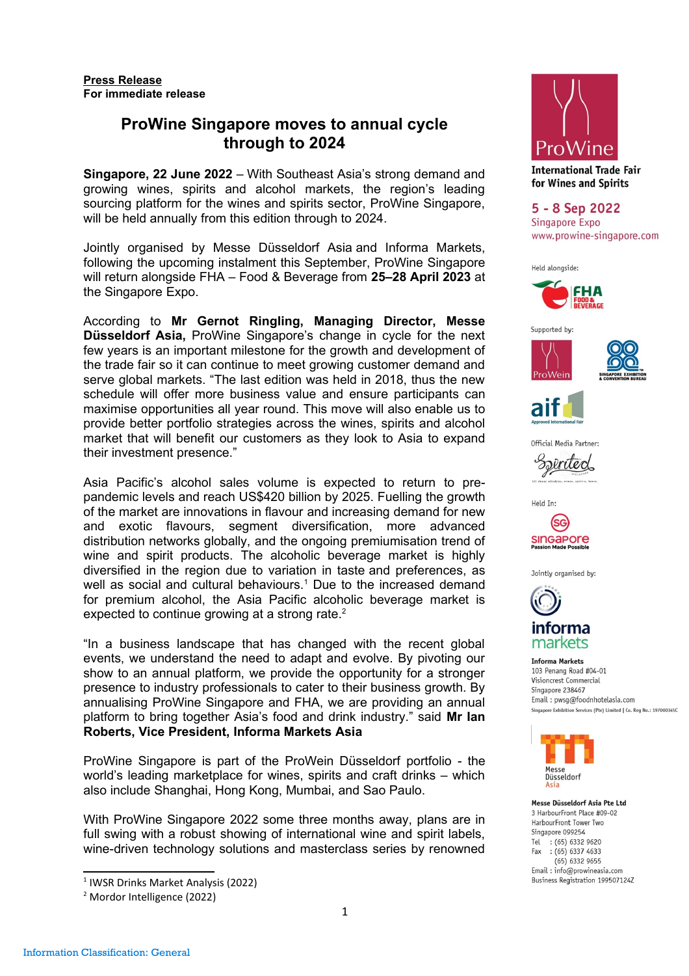# **ProWine Singapore moves to annual cycle through to 2024**

**Singapore, 22 June 2022** – With Southeast Asia's strong demand and growing wines, spirits and alcohol markets, the region's leading sourcing platform for the wines and spirits sector, ProWine Singapore, will be held annually from this edition through to 2024.

Jointly organised by Messe Düsseldorf Asia and Informa Markets, following the upcoming instalment this September, ProWine Singapore will return alongside FHA – Food & Beverage from **25–28 April 2023** at the Singapore Expo.

According to **Mr Gernot Ringling, Managing Director, Messe Düsseldorf Asia,** ProWine Singapore's change in cycle for the next few years is an important milestone for the growth and development of the trade fair so it can continue to meet growing customer demand and serve global markets. "The last edition was held in 2018, thus the new schedule will offer more business value and ensure participants can maximise opportunities all year round. This move will also enable us to provide better portfolio strategies across the wines, spirits and alcohol market that will benefit our customers as they look to Asia to expand their investment presence."

Asia Pacific's alcohol sales volume is expected to return to prepandemic levels and reach US\$420 billion by 2025. Fuelling the growth of the market are innovations in flavour and increasing demand for new and exotic flavours, segment diversification, more advanced distribution networks globally, and the ongoing premiumisation trend of wine and spirit products. The alcoholic beverage market is highly diversified in the region due to variation in taste and preferences, as well as social and cultural behaviours.<sup>1</sup> Due to the increased demand for premium alcohol, the Asia Pacific alcoholic beverage market is expected to continue growing at a strong rate.<sup>2</sup>

"In a business landscape that has changed with the recent global events, we understand the need to adapt and evolve. By pivoting our show to an annual platform, we provide the opportunity for a stronger presence to industry professionals to cater to their business growth. By annualising ProWine Singapore and FHA, we are providing an annual platform to bring together Asia's food and drink industry." said **Mr Ian Roberts, Vice President, Informa Markets Asia**

ProWine Singapore is part of the ProWein Düsseldorf portfolio - the world's leading marketplace for wines, spirits and craft drinks – which also include Shanghai, Hong Kong, Mumbai, and Sao Paulo.

With ProWine Singapore 2022 some three months away, plans are in full swing with a robust showing of international wine and spirit labels, wine-driven technology solutions and masterclass series by renowned

 $<sup>1</sup>$  IWSR Drinks Market Analysis (2022)</sup>



**International Trade Fair** for Wines and Spirits

5 - 8 Sep 2022 Singapore Expo www.prowine-singapore.com

Held alongside:









Official Media Partner:





Jointly organised by:



markets

**Informa Markets** 103 Penang Road #04-01 Visioncrest Commercial Singapore 238467 Email: pwsq@foodnhotelasia.com Singapore Exhibition Services (Pte) Limited | Co. Reg No.: 197000345C



Messe Düsseldorf Asia Pte Ltd 3 HarbourFront Place #09-02 HarbourFront Tower Two Singapore 099254 Tel : (65) 6332 9620 Fax : (65) 6337 4633  $(65)$  6332 9655 Email: info@prowineasia.com Business Registration 199507124Z

<sup>&</sup>lt;sup>2</sup> Mordor Intelligence (2022)